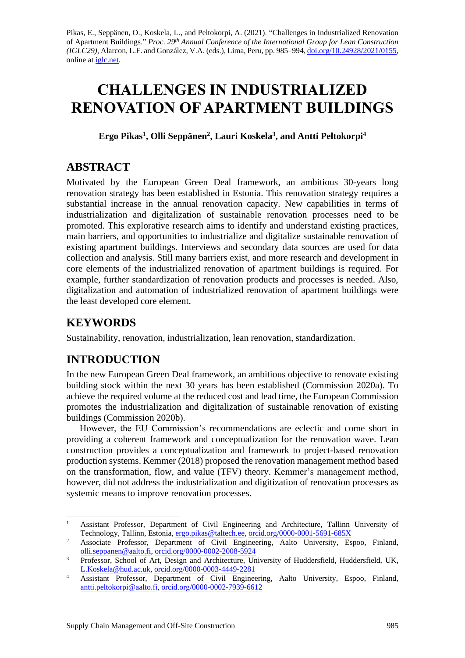Pikas, E., Seppänen, O., Koskela, L., and Peltokorpi, A. (2021). "Challenges in Industrialized Renovation of Apartment Buildings." *Proc. 29 th Annual Conference of the International Group for Lean Construction (IGLC29),* Alarcon, L.F. and González, V.A. (eds.)*,* Lima, Peru, pp. 985–994, [doi.org/10.24928/2021/0155,](https://doi.org/10.24928/2021/0155) online at [iglc.net.](http://iglc.net/)

# **CHALLENGES IN INDUSTRIALIZED RENOVATION OF APARTMENT BUILDINGS**

**Ergo Pikas<sup>1</sup> , Olli Seppänen<sup>2</sup> , Lauri Koskela<sup>3</sup> , and Antti Peltokorpi<sup>4</sup>**

# **ABSTRACT**

Motivated by the European Green Deal framework, an ambitious 30-years long renovation strategy has been established in Estonia. This renovation strategy requires a substantial increase in the annual renovation capacity. New capabilities in terms of industrialization and digitalization of sustainable renovation processes need to be promoted. This explorative research aims to identify and understand existing practices, main barriers, and opportunities to industrialize and digitalize sustainable renovation of existing apartment buildings. Interviews and secondary data sources are used for data collection and analysis. Still many barriers exist, and more research and development in core elements of the industrialized renovation of apartment buildings is required. For example, further standardization of renovation products and processes is needed. Also, digitalization and automation of industrialized renovation of apartment buildings were the least developed core element.

# **KEYWORDS**

Sustainability, renovation, industrialization, lean renovation, standardization.

# **INTRODUCTION**

In the new European Green Deal framework, an ambitious objective to renovate existing building stock within the next 30 years has been established (Commission 2020a). To achieve the required volume at the reduced cost and lead time, the European Commission promotes the industrialization and digitalization of sustainable renovation of existing buildings (Commission 2020b).

However, the EU Commission's recommendations are eclectic and come short in providing a coherent framework and conceptualization for the renovation wave. Lean construction provides a conceptualization and framework to project-based renovation production systems. Kemmer (2018) proposed the renovation management method based on the transformation, flow, and value (TFV) theory. Kemmer's management method, however, did not address the industrialization and digitization of renovation processes as systemic means to improve renovation processes.

<sup>&</sup>lt;sup>1</sup> Assistant Professor, Department of Civil Engineering and Architecture, Tallinn University of Technology, Tallinn, Estonia[, ergo.pikas@taltech.ee,](mailto:ergo.pikas@taltech.ee) [orcid.org/0000-0001-5691-685X](https://orcid.org/0000-0001-5691-685X)

<sup>&</sup>lt;sup>2</sup> Associate Professor, Department of Civil Engineering, Aalto University, Espoo, Finland, [olli.seppanen@aalto.fi,](mailto:olli.seppanen@aalto.fi) [orcid.org/0000-0002-2008-5924](https://orcid.org/0000-0002-2008-5924)

<sup>&</sup>lt;sup>3</sup> Professor, School of Art, Design and Architecture, University of Huddersfield, Huddersfield, UK, [L.Koskela@hud.ac.uk,](mailto:L.Koskela@hud.ac.uk) [orcid.org/0000-0003-4449-2281](https://orcid.org/0000-0003-4449-2281)

<sup>&</sup>lt;sup>4</sup> Assistant Professor, Department of Civil Engineering, Aalto University, Espoo, Finland, [antti.peltokorpi@aalto.fi,](mailto:antti.peltokorpi@aalto.fi) [orcid.org/0000-0002-7939-6612](https://orcid.org/0000-0002-7939-6612)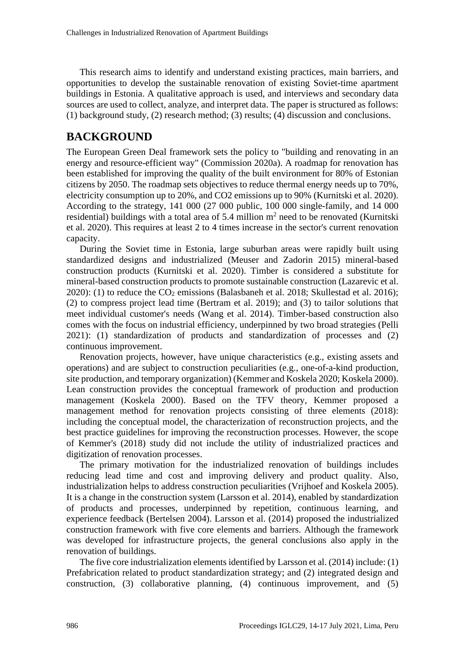This research aims to identify and understand existing practices, main barriers, and opportunities to develop the sustainable renovation of existing Soviet-time apartment buildings in Estonia. A qualitative approach is used, and interviews and secondary data sources are used to collect, analyze, and interpret data. The paper is structured as follows: (1) background study, (2) research method; (3) results; (4) discussion and conclusions.

# **BACKGROUND**

The European Green Deal framework sets the policy to "building and renovating in an energy and resource-efficient way" (Commission 2020a). A roadmap for renovation has been established for improving the quality of the built environment for 80% of Estonian citizens by 2050. The roadmap sets objectives to reduce thermal energy needs up to 70%, electricity consumption up to 20%, and CO2 emissions up to 90% (Kurnitski et al. 2020). According to the strategy, 141 000 (27 000 public, 100 000 single-family, and 14 000 residential) buildings with a total area of 5.4 million  $m<sup>2</sup>$  need to be renovated (Kurnitski et al. 2020). This requires at least 2 to 4 times increase in the sector's current renovation capacity.

During the Soviet time in Estonia, large suburban areas were rapidly built using standardized designs and industrialized (Meuser and Zadorin 2015) mineral-based construction products (Kurnitski et al. 2020). Timber is considered a substitute for mineral-based construction products to promote sustainable construction (Lazarevic et al. 2020): (1) to reduce the CO<sup>2</sup> emissions (Balasbaneh et al. 2018; Skullestad et al. 2016); (2) to compress project lead time (Bertram et al. 2019); and (3) to tailor solutions that meet individual customer's needs (Wang et al. 2014). Timber-based construction also comes with the focus on industrial efficiency, underpinned by two broad strategies (Pelli 2021): (1) standardization of products and standardization of processes and (2) continuous improvement.

Renovation projects, however, have unique characteristics (e.g., existing assets and operations) and are subject to construction peculiarities (e.g., one-of-a-kind production, site production, and temporary organization) (Kemmer and Koskela 2020; Koskela 2000). Lean construction provides the conceptual framework of production and production management (Koskela 2000). Based on the TFV theory, Kemmer proposed a management method for renovation projects consisting of three elements (2018): including the conceptual model, the characterization of reconstruction projects, and the best practice guidelines for improving the reconstruction processes. However, the scope of Kemmer's (2018) study did not include the utility of industrialized practices and digitization of renovation processes.

The primary motivation for the industrialized renovation of buildings includes reducing lead time and cost and improving delivery and product quality. Also, industrialization helps to address construction peculiarities (Vrijhoef and Koskela 2005). It is a change in the construction system (Larsson et al. 2014), enabled by standardization of products and processes, underpinned by repetition, continuous learning, and experience feedback (Bertelsen 2004). Larsson et al. (2014) proposed the industrialized construction framework with five core elements and barriers. Although the framework was developed for infrastructure projects, the general conclusions also apply in the renovation of buildings.

The five core industrialization elements identified by Larsson et al. (2014) include: (1) Prefabrication related to product standardization strategy; and (2) integrated design and construction, (3) collaborative planning, (4) continuous improvement, and (5)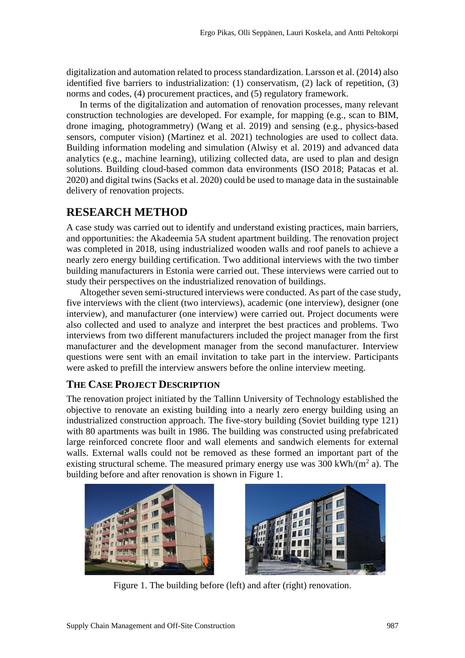digitalization and automation related to process standardization. Larsson et al. (2014) also identified five barriers to industrialization: (1) conservatism, (2) lack of repetition, (3) norms and codes, (4) procurement practices, and (5) regulatory framework.

In terms of the digitalization and automation of renovation processes, many relevant construction technologies are developed. For example, for mapping (e.g., scan to BIM, drone imaging, photogrammetry) (Wang et al. 2019) and sensing (e.g., physics-based sensors, computer vision) (Martinez et al. 2021) technologies are used to collect data. Building information modeling and simulation (Alwisy et al. 2019) and advanced data analytics (e.g., machine learning), utilizing collected data, are used to plan and design solutions. Building cloud-based common data environments (ISO 2018; Patacas et al. 2020) and digital twins (Sacks et al. 2020) could be used to manage data in the sustainable delivery of renovation projects.

# **RESEARCH METHOD**

A case study was carried out to identify and understand existing practices, main barriers, and opportunities: the Akadeemia 5A student apartment building. The renovation project was completed in 2018, using industrialized wooden walls and roof panels to achieve a nearly zero energy building certification. Two additional interviews with the two timber building manufacturers in Estonia were carried out. These interviews were carried out to study their perspectives on the industrialized renovation of buildings.

Altogether seven semi-structured interviews were conducted. As part of the case study, five interviews with the client (two interviews), academic (one interview), designer (one interview), and manufacturer (one interview) were carried out. Project documents were also collected and used to analyze and interpret the best practices and problems. Two interviews from two different manufacturers included the project manager from the first manufacturer and the development manager from the second manufacturer. Interview questions were sent with an email invitation to take part in the interview. Participants were asked to prefill the interview answers before the online interview meeting.

### **THE CASE PROJECT DESCRIPTION**

The renovation project initiated by the Tallinn University of Technology established the objective to renovate an existing building into a nearly zero energy building using an industrialized construction approach. The five-story building (Soviet building type 121) with 80 apartments was built in 1986. The building was constructed using prefabricated large reinforced concrete floor and wall elements and sandwich elements for external walls. External walls could not be removed as these formed an important part of the existing structural scheme. The measured primary energy use was  $300 \text{ kWh/(m}^2 a)$ . The building before and after renovation is shown in [Figure 1.](#page-2-0)

<span id="page-2-0"></span>



Figure 1. The building before (left) and after (right) renovation.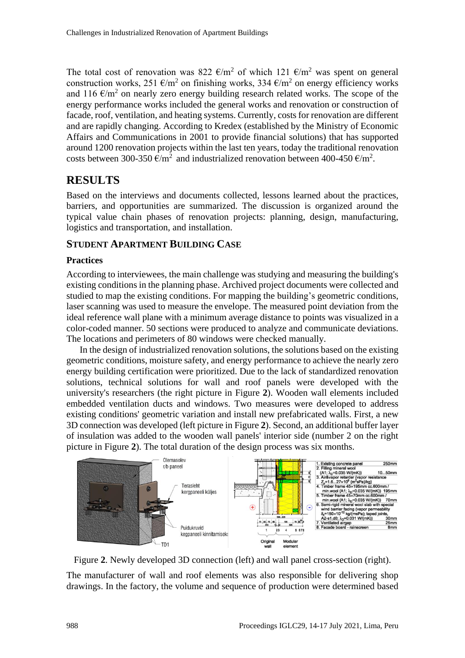The total cost of renovation was 822  $\epsilon/m^2$  of which 121  $\epsilon/m^2$  was spent on general construction works, 251  $\epsilon/m^2$  on finishing works, 334  $\epsilon/m^2$  on energy efficiency works and 116  $\epsilon/m^2$  on nearly zero energy building research related works. The scope of the energy performance works included the general works and renovation or construction of facade, roof, ventilation, and heating systems. Currently, costs for renovation are different and are rapidly changing. According to Kredex (established by the Ministry of Economic Affairs and Communications in 2001 to provide financial solutions) that has supported around 1200 renovation projects within the last ten years, today the traditional renovation costs between 300-350  $\epsilon/m^2$  and industrialized renovation between 400-450  $\epsilon/m^2$ .

## **RESULTS**

Based on the interviews and documents collected, lessons learned about the practices, barriers, and opportunities are summarized. The discussion is organized around the typical value chain phases of renovation projects: planning, design, manufacturing, logistics and transportation, and installation.

### **STUDENT APARTMENT BUILDING CASE**

### **Practices**

According to interviewees, the main challenge was studying and measuring the building's existing conditions in the planning phase. Archived project documents were collected and studied to map the existing conditions. For mapping the building's geometric conditions, laser scanning was used to measure the envelope. The measured point deviation from the ideal reference wall plane with a minimum average distance to points was visualized in a color-coded manner. 50 sections were produced to analyze and communicate deviations. The locations and perimeters of 80 windows were checked manually.

In the design of industrialized renovation solutions, the solutions based on the existing geometric conditions, moisture safety, and energy performance to achieve the nearly zero energy building certification were prioritized. Due to the lack of standardized renovation solutions, technical solutions for wall and roof panels were developed with the university's researchers (the right picture in [Figure](#page-3-0) **2**). Wooden wall elements included embedded ventilation ducts and windows. Two measures were developed to address existing conditions' geometric variation and install new prefabricated walls. First, a new 3D connection was developed (left picture in [Figure](#page-3-0) **2**). Second, an additional buffer layer of insulation was added to the wooden wall panels' interior side (number 2 on the right picture in [Figure](#page-3-0) **2**). The total duration of the design process was six months.



<span id="page-3-0"></span>Figure **2**. Newly developed 3D connection (left) and wall panel cross-section (right).

The manufacturer of wall and roof elements was also responsible for delivering shop drawings. In the factory, the volume and sequence of production were determined based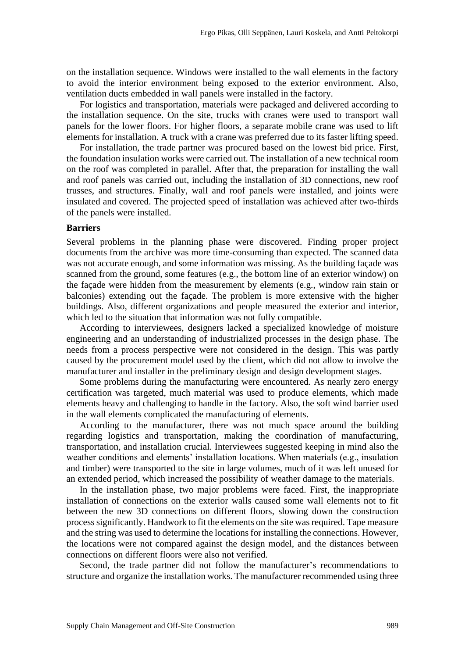on the installation sequence. Windows were installed to the wall elements in the factory to avoid the interior environment being exposed to the exterior environment. Also, ventilation ducts embedded in wall panels were installed in the factory.

For logistics and transportation, materials were packaged and delivered according to the installation sequence. On the site, trucks with cranes were used to transport wall panels for the lower floors. For higher floors, a separate mobile crane was used to lift elements for installation. A truck with a crane was preferred due to its faster lifting speed.

For installation, the trade partner was procured based on the lowest bid price. First, the foundation insulation works were carried out. The installation of a new technical room on the roof was completed in parallel. After that, the preparation for installing the wall and roof panels was carried out, including the installation of 3D connections, new roof trusses, and structures. Finally, wall and roof panels were installed, and joints were insulated and covered. The projected speed of installation was achieved after two-thirds of the panels were installed.

#### **Barriers**

Several problems in the planning phase were discovered. Finding proper project documents from the archive was more time-consuming than expected. The scanned data was not accurate enough, and some information was missing. As the building façade was scanned from the ground, some features (e.g., the bottom line of an exterior window) on the façade were hidden from the measurement by elements (e.g., window rain stain or balconies) extending out the façade. The problem is more extensive with the higher buildings. Also, different organizations and people measured the exterior and interior, which led to the situation that information was not fully compatible.

According to interviewees, designers lacked a specialized knowledge of moisture engineering and an understanding of industrialized processes in the design phase. The needs from a process perspective were not considered in the design. This was partly caused by the procurement model used by the client, which did not allow to involve the manufacturer and installer in the preliminary design and design development stages.

Some problems during the manufacturing were encountered. As nearly zero energy certification was targeted, much material was used to produce elements, which made elements heavy and challenging to handle in the factory. Also, the soft wind barrier used in the wall elements complicated the manufacturing of elements.

According to the manufacturer, there was not much space around the building regarding logistics and transportation, making the coordination of manufacturing, transportation, and installation crucial. Interviewees suggested keeping in mind also the weather conditions and elements' installation locations. When materials (e.g., insulation and timber) were transported to the site in large volumes, much of it was left unused for an extended period, which increased the possibility of weather damage to the materials.

In the installation phase, two major problems were faced. First, the inappropriate installation of connections on the exterior walls caused some wall elements not to fit between the new 3D connections on different floors, slowing down the construction process significantly. Handwork to fit the elements on the site was required. Tape measure and the string was used to determine the locations for installing the connections. However, the locations were not compared against the design model, and the distances between connections on different floors were also not verified.

Second, the trade partner did not follow the manufacturer's recommendations to structure and organize the installation works. The manufacturer recommended using three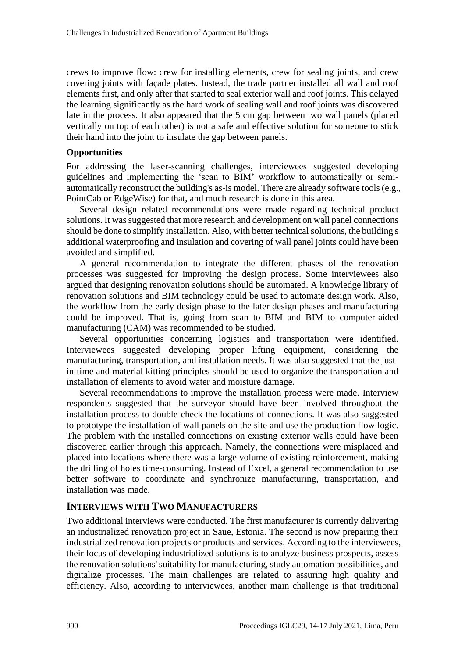crews to improve flow: crew for installing elements, crew for sealing joints, and crew covering joints with façade plates. Instead, the trade partner installed all wall and roof elements first, and only after that started to seal exterior wall and roof joints. This delayed the learning significantly as the hard work of sealing wall and roof joints was discovered late in the process. It also appeared that the 5 cm gap between two wall panels (placed vertically on top of each other) is not a safe and effective solution for someone to stick their hand into the joint to insulate the gap between panels.

### **Opportunities**

For addressing the laser-scanning challenges, interviewees suggested developing guidelines and implementing the 'scan to BIM' workflow to automatically or semiautomatically reconstruct the building's as-is model. There are already software tools (e.g., PointCab or EdgeWise) for that, and much research is done in this area.

Several design related recommendations were made regarding technical product solutions. It was suggested that more research and development on wall panel connections should be done to simplify installation. Also, with better technical solutions, the building's additional waterproofing and insulation and covering of wall panel joints could have been avoided and simplified.

A general recommendation to integrate the different phases of the renovation processes was suggested for improving the design process. Some interviewees also argued that designing renovation solutions should be automated. A knowledge library of renovation solutions and BIM technology could be used to automate design work. Also, the workflow from the early design phase to the later design phases and manufacturing could be improved. That is, going from scan to BIM and BIM to computer-aided manufacturing (CAM) was recommended to be studied.

Several opportunities concerning logistics and transportation were identified. Interviewees suggested developing proper lifting equipment, considering the manufacturing, transportation, and installation needs. It was also suggested that the justin-time and material kitting principles should be used to organize the transportation and installation of elements to avoid water and moisture damage.

Several recommendations to improve the installation process were made. Interview respondents suggested that the surveyor should have been involved throughout the installation process to double-check the locations of connections. It was also suggested to prototype the installation of wall panels on the site and use the production flow logic. The problem with the installed connections on existing exterior walls could have been discovered earlier through this approach. Namely, the connections were misplaced and placed into locations where there was a large volume of existing reinforcement, making the drilling of holes time-consuming. Instead of Excel, a general recommendation to use better software to coordinate and synchronize manufacturing, transportation, and installation was made.

### **INTERVIEWS WITH TWO MANUFACTURERS**

Two additional interviews were conducted. The first manufacturer is currently delivering an industrialized renovation project in Saue, Estonia. The second is now preparing their industrialized renovation projects or products and services. According to the interviewees, their focus of developing industrialized solutions is to analyze business prospects, assess the renovation solutions' suitability for manufacturing, study automation possibilities, and digitalize processes. The main challenges are related to assuring high quality and efficiency. Also, according to interviewees, another main challenge is that traditional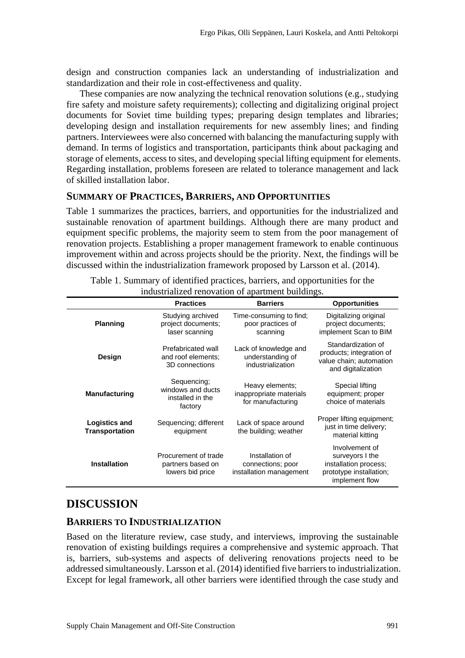design and construction companies lack an understanding of industrialization and standardization and their role in cost-effectiveness and quality.

These companies are now analyzing the technical renovation solutions (e.g., studying fire safety and moisture safety requirements); collecting and digitalizing original project documents for Soviet time building types; preparing design templates and libraries; developing design and installation requirements for new assembly lines; and finding partners. Interviewees were also concerned with balancing the manufacturing supply with demand. In terms of logistics and transportation, participants think about packaging and storage of elements, access to sites, and developing special lifting equipment for elements. Regarding installation, problems foreseen are related to tolerance management and lack of skilled installation labor.

### **SUMMARY OF PRACTICES, BARRIERS, AND OPPORTUNITIES**

[Table 1](#page-6-0) summarizes the practices, barriers, and opportunities for the industrialized and sustainable renovation of apartment buildings. Although there are many product and equipment specific problems, the majority seem to stem from the poor management of renovation projects. Establishing a proper management framework to enable continuous improvement within and across projects should be the priority. Next, the findings will be discussed within the industrialization framework proposed by Larsson et al. (2014).

<span id="page-6-0"></span>

| $m$ and $m$ and $m$ and $m$ and $m$ and $m$ and $m$ and $m$ and $m$ |                                                                 |                                                                 |                                                                                                         |
|---------------------------------------------------------------------|-----------------------------------------------------------------|-----------------------------------------------------------------|---------------------------------------------------------------------------------------------------------|
|                                                                     | <b>Practices</b>                                                | <b>Barriers</b>                                                 | <b>Opportunities</b>                                                                                    |
| <b>Planning</b>                                                     | Studying archived<br>project documents;<br>laser scanning       | Time-consuming to find;<br>poor practices of<br>scanning        | Digitalizing original<br>project documents;<br>implement Scan to BIM                                    |
| Design                                                              | Prefabricated wall<br>and roof elements;<br>3D connections      | Lack of knowledge and<br>understanding of<br>industrialization  | Standardization of<br>products; integration of<br>value chain; automation<br>and digitalization         |
| <b>Manufacturing</b>                                                | Sequencing;<br>windows and ducts<br>installed in the<br>factory | Heavy elements;<br>inappropriate materials<br>for manufacturing | Special lifting<br>equipment; proper<br>choice of materials                                             |
| <b>Logistics and</b><br><b>Transportation</b>                       | Sequencing; different<br>equipment                              | Lack of space around<br>the building; weather                   | Proper lifting equipment;<br>just in time delivery;<br>material kitting                                 |
| <b>Installation</b>                                                 | Procurement of trade<br>partners based on<br>lowers bid price   | Installation of<br>connections; poor<br>installation management | Involvement of<br>surveyors I the<br>installation process;<br>prototype installation;<br>implement flow |

Table 1. Summary of identified practices, barriers, and opportunities for the industrialized renovation of apartment buildings.

# **DISCUSSION**

### **BARRIERS TO INDUSTRIALIZATION**

Based on the literature review, case study, and interviews, improving the sustainable renovation of existing buildings requires a comprehensive and systemic approach. That is, barriers, sub-systems and aspects of delivering renovations projects need to be addressed simultaneously. Larsson et al. (2014) identified five barriers to industrialization. Except for legal framework, all other barriers were identified through the case study and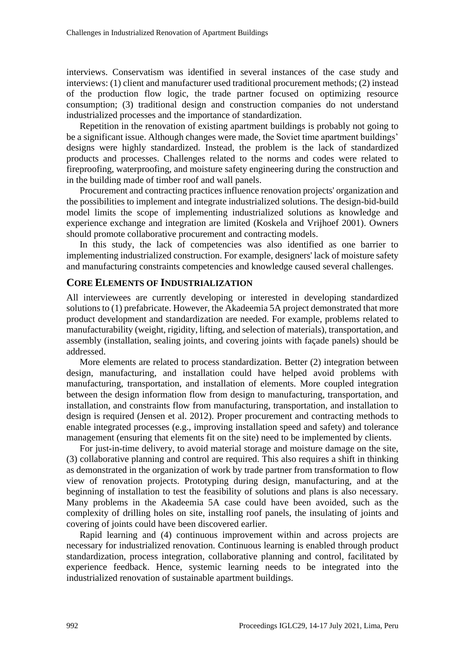interviews. Conservatism was identified in several instances of the case study and interviews: (1) client and manufacturer used traditional procurement methods; (2) instead of the production flow logic, the trade partner focused on optimizing resource consumption; (3) traditional design and construction companies do not understand industrialized processes and the importance of standardization.

Repetition in the renovation of existing apartment buildings is probably not going to be a significant issue. Although changes were made, the Soviet time apartment buildings' designs were highly standardized. Instead, the problem is the lack of standardized products and processes. Challenges related to the norms and codes were related to fireproofing, waterproofing, and moisture safety engineering during the construction and in the building made of timber roof and wall panels.

Procurement and contracting practices influence renovation projects' organization and the possibilities to implement and integrate industrialized solutions. The design-bid-build model limits the scope of implementing industrialized solutions as knowledge and experience exchange and integration are limited (Koskela and Vrijhoef 2001). Owners should promote collaborative procurement and contracting models.

In this study, the lack of competencies was also identified as one barrier to implementing industrialized construction. For example, designers' lack of moisture safety and manufacturing constraints competencies and knowledge caused several challenges.

### **CORE ELEMENTS OF INDUSTRIALIZATION**

All interviewees are currently developing or interested in developing standardized solutions to (1) prefabricate. However, the Akadeemia 5A project demonstrated that more product development and standardization are needed. For example, problems related to manufacturability (weight, rigidity, lifting, and selection of materials), transportation, and assembly (installation, sealing joints, and covering joints with façade panels) should be addressed.

More elements are related to process standardization. Better (2) integration between design, manufacturing, and installation could have helped avoid problems with manufacturing, transportation, and installation of elements. More coupled integration between the design information flow from design to manufacturing, transportation, and installation, and constraints flow from manufacturing, transportation, and installation to design is required (Jensen et al. 2012). Proper procurement and contracting methods to enable integrated processes (e.g., improving installation speed and safety) and tolerance management (ensuring that elements fit on the site) need to be implemented by clients.

For just-in-time delivery, to avoid material storage and moisture damage on the site, (3) collaborative planning and control are required. This also requires a shift in thinking as demonstrated in the organization of work by trade partner from transformation to flow view of renovation projects. Prototyping during design, manufacturing, and at the beginning of installation to test the feasibility of solutions and plans is also necessary. Many problems in the Akadeemia 5A case could have been avoided, such as the complexity of drilling holes on site, installing roof panels, the insulating of joints and covering of joints could have been discovered earlier.

Rapid learning and (4) continuous improvement within and across projects are necessary for industrialized renovation. Continuous learning is enabled through product standardization, process integration, collaborative planning and control, facilitated by experience feedback. Hence, systemic learning needs to be integrated into the industrialized renovation of sustainable apartment buildings.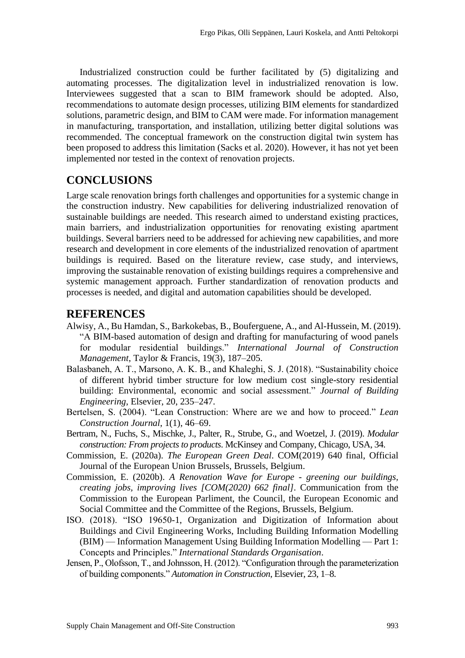Industrialized construction could be further facilitated by (5) digitalizing and automating processes. The digitalization level in industrialized renovation is low. Interviewees suggested that a scan to BIM framework should be adopted. Also, recommendations to automate design processes, utilizing BIM elements for standardized solutions, parametric design, and BIM to CAM were made. For information management in manufacturing, transportation, and installation, utilizing better digital solutions was recommended. The conceptual framework on the construction digital twin system has been proposed to address this limitation (Sacks et al. 2020). However, it has not yet been implemented nor tested in the context of renovation projects.

# **CONCLUSIONS**

Large scale renovation brings forth challenges and opportunities for a systemic change in the construction industry. New capabilities for delivering industrialized renovation of sustainable buildings are needed. This research aimed to understand existing practices, main barriers, and industrialization opportunities for renovating existing apartment buildings. Several barriers need to be addressed for achieving new capabilities, and more research and development in core elements of the industrialized renovation of apartment buildings is required. Based on the literature review, case study, and interviews, improving the sustainable renovation of existing buildings requires a comprehensive and systemic management approach. Further standardization of renovation products and processes is needed, and digital and automation capabilities should be developed.

### **REFERENCES**

- Alwisy, A., Bu Hamdan, S., Barkokebas, B., Bouferguene, A., and Al-Hussein, M. (2019). "A BIM-based automation of design and drafting for manufacturing of wood panels for modular residential buildings." *International Journal of Construction Management*, Taylor & Francis, 19(3), 187–205.
- Balasbaneh, A. T., Marsono, A. K. B., and Khaleghi, S. J. (2018). "Sustainability choice of different hybrid timber structure for low medium cost single-story residential building: Environmental, economic and social assessment." *Journal of Building Engineering*, Elsevier, 20, 235–247.
- Bertelsen, S. (2004). "Lean Construction: Where are we and how to proceed." *Lean Construction Journal*, 1(1), 46–69.
- Bertram, N., Fuchs, S., Mischke, J., Palter, R., Strube, G., and Woetzel, J. (2019). *Modular construction: From projects to products*. McKinsey and Company, Chicago, USA, 34.
- Commission, E. (2020a). *The European Green Deal*. COM(2019) 640 final, Official Journal of the European Union Brussels, Brussels, Belgium.
- Commission, E. (2020b). *A Renovation Wave for Europe - greening our buildings, creating jobs, improving lives [COM(2020) 662 final]*. Communication from the Commission to the European Parliment, the Council, the European Economic and Social Committee and the Committee of the Regions, Brussels, Belgium.
- ISO. (2018). "ISO 19650-1, Organization and Digitization of Information about Buildings and Civil Engineering Works, Including Building Information Modelling (BIM) — Information Management Using Building Information Modelling — Part 1: Concepts and Principles." *International Standards Organisation*.
- Jensen, P., Olofsson, T., and Johnsson, H. (2012). "Configuration through the parameterization of building components." *Automation in Construction*, Elsevier, 23, 1–8.